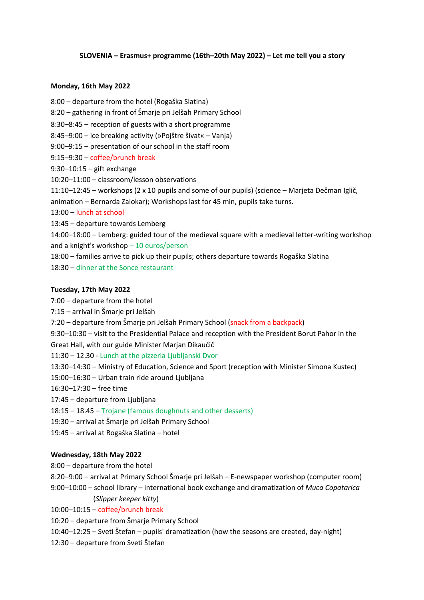## **SLOVENIA – Erasmus+ programme (16th–20th May 2022) – Let me tell you a story**

#### **Monday, 16th May 2022**

- 8:00 departure from the hotel (Rogaška Slatina)
- 8:20 gathering in front of Šmarje pri Jelšah Primary School
- 8:30–8:45 reception of guests with a short programme
- 8:45–9:00 ice breaking activity (»Pojštre šivat« Vanja)
- 9:00–9:15 presentation of our school in the staff room
- 9:15–9:30 coffee/brunch break
- 9:30–10:15 gift exchange
- 10:20–11:00 classroom/lesson observations
- 11:10–12:45 workshops (2 x 10 pupils and some of our pupils) (science Marjeta Dečman Iglič,

animation – Bernarda Zalokar); Workshops last for 45 min, pupils take turns.

- 13:00 lunch at school
- 13:45 departure towards Lemberg

14:00–18:00 – Lemberg: guided tour of the medieval square with a medieval letter-writing workshop and a knight's workshop – 10 euros/person

- 18:00 families arrive to pick up their pupils; others departure towards Rogaška Slatina
- 18:30 dinner at the Sonce restaurant

# **Tuesday, 17th May 2022**

- 7:00 departure from the hotel
- 7:15 arrival in Šmarje pri Jelšah
- 7:20 departure from Šmarje pri Jelšah Primary School (snack from a backpack)
- 9:30–10:30 visit to the Presidential Palace and reception with the President Borut Pahor in the Great Hall, with our guide Minister Marjan Dikaučič
- 11:30 12.30 Lunch at the pizzeria Ljubljanski Dvor
- 13:30–14:30 Ministry of Education, Science and Sport (reception with Minister Simona Kustec)
- 15:00–16:30 Urban train ride around Ljubljana
- 16:30–17:30 free time
- 17:45 departure from Ljubljana
- 18:15 18.45 Trojane (famous doughnuts and other desserts)
- 19:30 arrival at Šmarje pri Jelšah Primary School
- 19:45 arrival at Rogaška Slatina hotel

## **Wednesday, 18th May 2022**

8:00 – departure from the hotel

- 8:20–9:00 arrival at Primary School Šmarje pri Jelšah E-newspaper workshop (computer room)
- 9:00–10:00 school library international book exchange and dramatization of *Muca Copatarica* (*Slipper keeper kitty*)

10:00–10:15 – coffee/brunch break

10:20 – departure from Šmarje Primary School

- 10:40–12:25 Sveti Štefan pupils' dramatization (how the seasons are created, day-night)
- 12:30 departure from Sveti Štefan